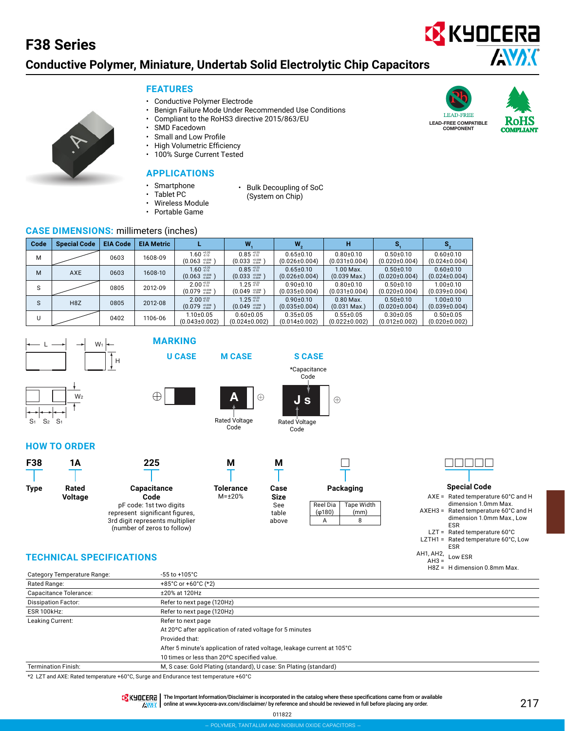### **Conductive Polymer, Miniature, Undertab Solid Electrolytic Chip Capacitors**

### **FEATURES**

- Conductive Polymer Electrode
- Benign Failure Mode Under Recommended Use Conditions

• Bulk Decoupling of SoC (System on Chip)

- Compliant to the RoHS3 directive 2015/863/EU
- SMD Facedown
- Small and Low Profile
- High Volumetric Efficiency
- 100% Surge Current Tested

### **APPLICATIONS**

- **Smartphone** 
	- Tablet PC
- Wireless Module
- Portable Game

### **CASE DIMENSIONS: millimeters (inches)**

| Code | <b>Special Code</b> | <b>EIA Code</b> | <b>EIA Metric</b> |                                                              | W                                                                     | W,                                     | н                                      |                                        |                                        |
|------|---------------------|-----------------|-------------------|--------------------------------------------------------------|-----------------------------------------------------------------------|----------------------------------------|----------------------------------------|----------------------------------------|----------------------------------------|
| м    |                     | 0603            | 1608-09           | $1.60 \frac{+0.20}{0.10}$<br>$(0.063 \frac{+0.008}{0.004})$  | $0.85 \, \substack{+0.20 \\ -0.10}$<br>$(0.033 \frac{+0.008}{0.004})$ | $0.65 \pm 0.10$<br>$(0.026 \pm 0.004)$ | $0.80 \pm 0.10$<br>$(0.031 \pm 0.004)$ | $0.50 \pm 0.10$<br>$(0.020 \pm 0.004)$ | $0.60 + 0.10$<br>$(0.024 \pm 0.004)$   |
| М    | <b>AXE</b>          | 0603            | 1608-10           | $1.60 \frac{+0.20}{+0.10}$<br>$(0.063 \frac{+0.008}{0.004})$ | $0.85_{-0.10}^{+0.20}$<br>$(0.033 \frac{+0.008}{0.004})$              | $0.65 \pm 0.10$<br>$(0.026 \pm 0.004)$ | 1.00 Max.<br>$(0.039 \text{ Max.})$    | $0.50 \pm 0.10$<br>$(0.020 \pm 0.004)$ | $0.60 \pm 0.10$<br>$(0.024 \pm 0.004)$ |
| S    |                     | 0805            | 2012-09           | $2.00_{0.010}^{+0.20}$<br>$(0.079 \frac{+0.008}{+0.004})$    | $1.25 \frac{+0.20}{0.10}$<br>$(0.049 \frac{+0.008}{0.004})$           | $0.90 + 0.10$<br>$(0.035 \pm 0.004)$   | $0.80 + 0.10$<br>$(0.031 \pm 0.004)$   | $0.50 + 0.10$<br>$(0.020 \pm 0.004)$   | $1.00 + 0.10$<br>$(0.039 \pm 0.004)$   |
| S    | H <sub>8</sub> Z    | 0805            | 2012-08           | $2.00 \frac{+0.20}{-0.10}$<br>$(0.079 \frac{+0.008}{0.004})$ | $1.25 \frac{+0.20}{-0.10}$<br>$(0.049)^{+0.008}_{-0.004}$             | $0.90 \pm 0.10$<br>$(0.035 \pm 0.004)$ | $0.80$ Max.<br>$(0.031$ Max.)          | $0.50 \pm 0.10$<br>$(0.020 \pm 0.004)$ | $1.00 \pm 0.10$<br>$(0.039 \pm 0.004)$ |
| U    |                     | 0402            | 1106-06           | $1.10{\pm}0.05$<br>$(0.043 \pm 0.002)$                       | $0.60 \pm 0.05$<br>$(0.024 \pm 0.002)$                                | $0.35 \pm 0.05$<br>$(0.014\pm0.002)$   | $0.55 \pm 0.05$<br>$(0.022 \pm 0.002)$ | $0.30 \pm 0.05$<br>$(0.012 \pm 0.002)$ | $0.50 + 0.05$<br>$(0.020 \pm 0.002)$   |



 $W<sub>2</sub>$ 



**MARKING**





Rated Voltage Code



**HOW TO ORDER**

S1 S2 S1



### **TECHNICAL SPECIFICATIONS**

|                             |                                                                         | $H8Z = H$ dimension 0.8mm Max. |
|-----------------------------|-------------------------------------------------------------------------|--------------------------------|
| Category Temperature Range: | $-55$ to $+105^{\circ}$ C                                               |                                |
| Rated Range:                | +85°C or +60°C (*2)                                                     |                                |
| Capacitance Tolerance:      | ±20% at 120Hz                                                           |                                |
| <b>Dissipation Factor:</b>  | Refer to next page (120Hz)                                              |                                |
| <b>ESR 100kHz:</b>          | Refer to next page (120Hz)                                              |                                |
| Leaking Current:            | Refer to next page                                                      |                                |
|                             | At 20°C after application of rated voltage for 5 minutes                |                                |
|                             | Provided that:                                                          |                                |
|                             | After 5 minute's application of rated voltage, leakage current at 105°C |                                |
|                             | 10 times or less than 20°C specified value.                             |                                |
| <b>Termination Finish:</b>  | M, S case: Gold Plating (standard), U case: Sn Plating (standard)       |                                |
|                             |                                                                         |                                |

\*2 LZT and AXE: Rated temperature +60°C, Surge and Endurance test temperature +60°C

TR KHOCERA | The Important Information/Disclaimer is incorporated in the catalog where these specifications came from or available

AWAX online at [www.kyocera-avx.com/disclaimer/](http://www.avx.com/disclaimer/) by reference and should be reviewed in full before placing any order.





**EX** KYOCERA

ESR AH1, AH2, AH3 = Low ESR



**AVAX**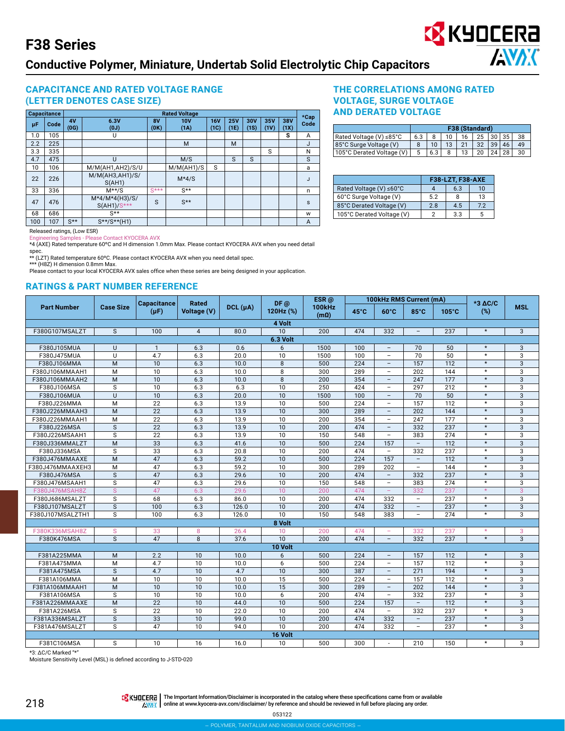### **Conductive Polymer, Miniature, Undertab Solid Electrolytic Chip Capacitors**

### **CAPACITANCE AND RATED VOLTAGE RANGE (LETTER DENOTES CASE SIZE)**

|     | <b>Capacitance</b> |                  | <b>Rated Voltage</b>              |                   |                    |                    |                    |             |             | $*$ Cap     |      |
|-----|--------------------|------------------|-----------------------------------|-------------------|--------------------|--------------------|--------------------|-------------|-------------|-------------|------|
| μF  | Code               | 4V<br>(0G)       | 6.3V<br>(0J)                      | <b>8V</b><br>(0K) | <b>10V</b><br>(1A) | <b>16V</b><br>(1C) | <b>25V</b><br>(1E) | 30V<br>(1S) | 35V<br>(1V) | 38V<br>(1X) | Code |
| 1.0 | 105                |                  | U                                 |                   |                    |                    |                    |             |             | s           | A    |
| 2.2 | 225                |                  |                                   |                   | M                  |                    | M                  |             |             |             | J    |
| 3.3 | 335                |                  |                                   |                   |                    |                    |                    |             | S           |             | N    |
| 4.7 | 475                |                  | U                                 |                   | M/S                |                    | S                  | S           |             |             | S    |
| 10  | 106                |                  | M/M(AH1,AH2)/S/U                  |                   | M/M(AH1)/S         | S                  |                    |             |             |             | a    |
| 22  | 226                |                  | M/M(AH3, AH1)/S/<br>S(AH1)        |                   | $M*4/S$            |                    |                    |             |             |             | J    |
| 33  | 336                |                  | $M**/S$                           | $S***$            | $S^{\star\star}$   |                    |                    |             |             |             | n    |
| 47  | 476                |                  | $M*4/M*4(H3)/S/$<br>$S(AH1)/S***$ | S                 | $S^{\star\star}$   |                    |                    |             |             |             | s    |
| 68  | 686                |                  | $S^{\star\star}$                  |                   |                    |                    |                    |             |             |             | W    |
| 100 | 107                | $S^{\star\star}$ | $S***/S***$ (H1)                  |                   |                    |                    |                    |             |             |             | A    |

### **THE CORRELATIONS AMONG RATED VOLTAGE, SURGE VOLTAGE AND DERATED VOLTAGE**

|                           | F38 (Standard) |                 |                |                 |                           |  |       |     |  |
|---------------------------|----------------|-----------------|----------------|-----------------|---------------------------|--|-------|-----|--|
| Rated Voltage (V) ≤85°C   | 6.3            |                 | $10-10$        | 16 <sup>1</sup> | $25 \mid 30 \mid 35 \mid$ |  |       | 38  |  |
| 85°C Surge Voltage (V)    |                | 10 <sup>1</sup> | 13             | 21              | 32 <sup>2</sup>           |  | 39 46 |     |  |
| 105°C Derated Voltage (V) |                | 6.3             | 8 <sup>8</sup> | 13              | 20                        |  | 24 28 | -30 |  |

**EX** KYOCERA

**ANDK** 

|                           | <b>F38-LZT, F38-AXE</b> |     |     |  |  |  |
|---------------------------|-------------------------|-----|-----|--|--|--|
| Rated Voltage (V) ≤60°C   |                         | 6.3 | 10  |  |  |  |
| 60°C Surge Voltage (V)    | 5.2                     | 8   | 13  |  |  |  |
| 85°C Derated Voltage (V)  | 28                      | 4.5 | 7.2 |  |  |  |
| 105°C Derated Voltage (V) |                         | 3.3 |     |  |  |  |

Released ratings, (Low ESR)<br>Engineering Samples - Pleas

Engineering Samples - Please Contact KYOCERA AVX \*4 (AXE) Rated temperature 60ºC and H dimension 1.0mm Max. Please contact KYOCERA AVX when you need detail spec. \*\* (LZT) Rated temperature 60ºC. Please contact KYOCERA AVX when you need detail spec.

\*\*\* (H8Z) H dimension 0.8mm Max.

Please contact to your local KYOCERA AVX sales office when these series are being designed in your application.

#### **RATINGS & PART NUMBER REFERENCE**

|                    |                  | <b>Capacitance</b> | <b>Rated</b>   |          | DF@       | ESR <sub>@</sub>             | 100kHz RMS Current (mA) |                          |                          |               | $*3$ AC/C |            |
|--------------------|------------------|--------------------|----------------|----------|-----------|------------------------------|-------------------------|--------------------------|--------------------------|---------------|-----------|------------|
| <b>Part Number</b> | <b>Case Size</b> | $(\mu F)$          | Voltage (V)    | DCL (µA) | 120Hz (%) | <b>100kHz</b><br>$(m\Omega)$ | $45^{\circ}$ C          | $60^{\circ}$ C           | 85°C                     | $105^\circ C$ | (%)       | <b>MSL</b> |
|                    |                  |                    |                |          | 4 Volt    |                              |                         |                          |                          |               |           |            |
| F380G107MSALZT     | S                | 100                | $\overline{4}$ | 80.0     | 10        | 200                          | 474                     | 332                      | $\overline{\phantom{0}}$ | 237           | $\star$   | 3          |
|                    |                  |                    |                |          | 6.3 Volt  |                              |                         |                          |                          |               |           |            |
| F380J105MUA        | $\cup$           | $\mathbf{1}$       | 6.3            | 0.6      | 6         | 1500                         | 100                     | $\overline{\phantom{0}}$ | 70                       | 50            | $\star$   | 3          |
| F380J475MUA        | U                | 4.7                | 6.3            | 20.0     | 10        | 1500                         | 100                     | $\equiv$                 | 70                       | 50            | $\star$   | 3          |
| F380J106MMA        | M                | 10                 | 6.3            | 10.0     | 8         | 500                          | 224                     | $\equiv$                 | 157                      | 112           | $\star$   | 3          |
| F380J106MMAAH1     | M                | 10                 | 6.3            | 10.0     | 8         | 300                          | 289                     | $\overline{\phantom{a}}$ | 202                      | 144           | $\star$   | 3          |
| F380J106MMAAH2     | M                | 10                 | 6.3            | 10.0     | 8         | 200                          | 354                     | $\equiv$                 | 247                      | 177           | $\star$   | 3          |
| F380J106MSA        | S                | 10                 | 6.3            | 6.3      | 10        | 250                          | 424                     | $\overline{\phantom{a}}$ | 297                      | 212           | $\star$   | 3          |
| F380J106MUA        | $\cup$           | 10                 | 6.3            | 20.0     | 10        | 1500                         | 100                     | $\overline{\phantom{a}}$ | 70                       | 50            | $\star$   | 3          |
| F380J226MMA        | M                | 22                 | 6.3            | 13.9     | 10        | 500                          | 224                     | $\equiv$                 | 157                      | 112           | $\star$   | 3          |
| F380J226MMAAH3     | M                | 22                 | 6.3            | 13.9     | 10        | 300                          | 289                     | $\overline{\phantom{a}}$ | 202                      | 144           | $\star$   | 3          |
| F380J226MMAAH1     | M                | 22                 | 6.3            | 13.9     | 10        | 200                          | 354                     | $\overline{\phantom{a}}$ | 247                      | 177           | $\star$   | 3          |
| F380J226MSA        | S                | 22                 | 6.3            | 13.9     | 10        | 200                          | 474                     | $\equiv$                 | 332                      | 237           | $\star$   | 3          |
| F380J226MSAAH1     | S                | 22                 | 6.3            | 13.9     | 10        | 150                          | 548                     | $\overline{\phantom{a}}$ | 383                      | 274           | $\star$   | 3          |
| F380J336MMALZT     | M                | 33                 | 6.3            | 41.6     | 10        | 500                          | 224                     | 157                      | $\equiv$                 | 112           | $\star$   | 3          |
| F380J336MSA        | S                | 33                 | 6.3            | 20.8     | 10        | 200                          | 474                     | $\overline{\phantom{a}}$ | 332                      | 237           | $\star$   | 3          |
| F380J476MMAAXE     | M                | 47                 | 6.3            | 59.2     | 10        | 500                          | 224                     | 157                      | $\overline{\phantom{a}}$ | 112           | $\star$   | 3          |
| F380J476MMAAXEH3   | M                | 47                 | 6.3            | 59.2     | 10        | 300                          | 289                     | 202                      | $\overline{\phantom{0}}$ | 144           | $\star$   | 3          |
| F380J476MSA        | S                | 47                 | 6.3            | 29.6     | 10        | 200                          | 474                     | $\overline{\phantom{a}}$ | 332                      | 237           | $\star$   | 3          |
| F380J476MSAAH1     | S                | 47                 | 6.3            | 29.6     | 10        | 150                          | 548                     | $\overline{\phantom{a}}$ | 383                      | 274           | $\star$   | 3          |
| F380J476MSAH8Z     | S                | 47                 | 6.3            | 29.6     | 10        | 200                          | 474                     | $\overline{\phantom{m}}$ | 332                      | 237           | $\star$   | 3          |
| F380J686MSALZT     | S                | 68                 | 6.3            | 86.0     | 10        | 200                          | 474                     | 332                      | $\overline{\phantom{a}}$ | 237           | $\star$   | 3          |
| F380J107MSALZT     | S                | 100                | 6.3            | 126.0    | 10        | 200                          | 474                     | 332                      | $\overline{\phantom{a}}$ | 237           | $\star$   | 3          |
| F380J107MSALZTH1   | S                | 100                | 6.3            | 126.0    | 10        | 150                          | 548                     | 383                      | $\qquad \qquad -$        | 274           | $\star$   | 3          |
|                    |                  |                    |                |          | 8 Volt    |                              |                         |                          |                          |               |           |            |
| F380K336MSAH8Z     | S                | 33                 | 8              | 26.4     | 10        | 200                          | 474                     | $\overline{\phantom{a}}$ | 332                      | 237           | $\star$   | 3          |
| F380K476MSA        | <sub>S</sub>     | 47                 | 8              | 37.6     | 10        | 200                          | 474                     | $\overline{\phantom{a}}$ | 332                      | 237           | $\star$   | 3          |
|                    |                  |                    |                |          | 10 Volt   |                              |                         |                          |                          |               |           |            |
| F381A225MMA        | M                | 2.2                | 10             | 10.0     | 6         | 500                          | 224                     | $\overline{\phantom{a}}$ | 157                      | 112           | $\star$   | 3          |
| F381A475MMA        | M                | 4.7                | 10             | 10.0     | 6         | 500                          | 224                     | $\overline{\phantom{a}}$ | 157                      | 112           | $\star$   | 3          |
| F381A475MSA        | $\mathsf S$      | 4.7                | 10             | 4.7      | 10        | 300                          | 387                     | -                        | 271                      | 194           | $\star$   | 3          |
| F381A106MMA        | M                | 10                 | 10             | 10.0     | 15        | 500                          | 224                     | $\bar{a}$                | 157                      | 112           | $\star$   | 3          |
| F381A106MMAAH1     | M                | 10                 | 10             | 10.0     | 15        | 300                          | 289                     | $\qquad \qquad -$        | 202                      | 144           | $\star$   | 3          |
| F381A106MSA        | S                | 10                 | 10             | 10.0     | 6         | 200                          | 474                     | $\overline{\phantom{a}}$ | 332                      | 237           | $\star$   | 3          |
| F381A226MMAAXE     | M                | 22                 | 10             | 44.0     | 10        | 500                          | 224                     | 157                      | $\equiv$                 | 112           | $\star$   | 3          |
| F381A226MSA        | S                | 22                 | 10             | 22.0     | 10        | 200                          | 474                     | $\overline{\phantom{a}}$ | 332                      | 237           | $\star$   | 3          |
| F381A336MSALZT     | $\mathsf{s}$     | 33                 | 10             | 99.0     | 10        | 200                          | 474                     | 332                      | $\overline{\phantom{a}}$ | 237           | $\star$   | 3          |
| F381A476MSALZT     | S                | 47                 | 10             | 94.0     | 10        | 200                          | 474                     | 332                      | $\overline{\phantom{a}}$ | 237           | $\star$   | 3          |
|                    |                  |                    |                |          | 16 Volt   |                              |                         |                          |                          |               |           |            |
| F381C106MSA        | S                | 10                 | 16             | 16.0     | 10        | 500                          | 300                     |                          | 210                      | 150           | $\star$   | 3          |

\*3: ΔC/C Marked "\*

Moisture Sensitivity Level (MSL) is defined according to J-STD-020

THE Important Information/Disclaimer is incorporated in the catalog where these specifications came from or available **AWAX** online at [www.kyocera-avx.com/disclaimer/](http://www.kyocera-avx.com/disclaimer/) by reference and should be reviewed in full before placing any order.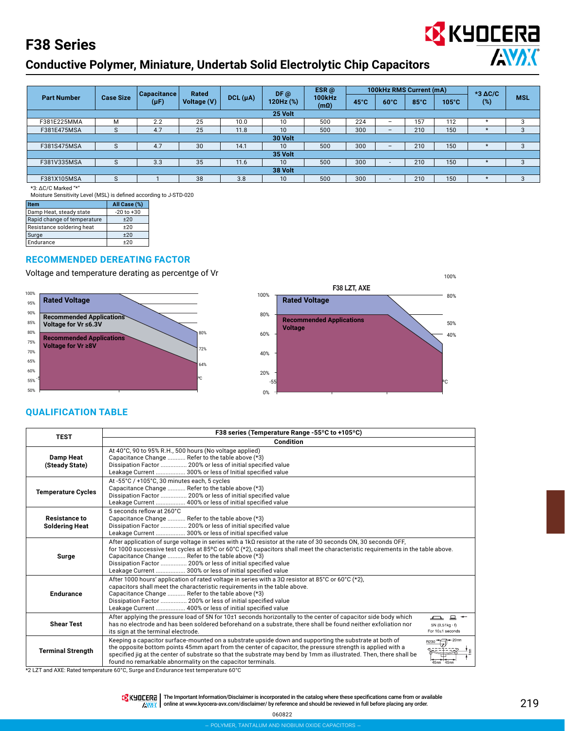## **Conductive Polymer, Miniature, Undertab Solid Electrolytic Chip Capacitors**



\*3: ΔC/C Marked "\*"

Moisture Sensitivity Level (MSL) is defined according to J-STD-020

| <b>Item</b>                 | All Case (%)   |
|-----------------------------|----------------|
| Damp Heat, steady state     | $-20$ to $+30$ |
| Rapid change of temperature | ±20            |
| Resistance soldering heat   | $+20$          |
| Surge                       | ±20            |
| Endurance                   | $+20$          |

#### **RECOMMENDED DEREATING FACTOR**

Voltage and temperature derating as percentge of Vr





### **QUALIFICATION TABLE**

| <b>TEST</b>                                   | F38 series (Temperature Range -55°C to +105°C)                                                                                                                                                                                                                                                                                                                                                                                                                  |                                                                  |  |  |  |  |  |  |
|-----------------------------------------------|-----------------------------------------------------------------------------------------------------------------------------------------------------------------------------------------------------------------------------------------------------------------------------------------------------------------------------------------------------------------------------------------------------------------------------------------------------------------|------------------------------------------------------------------|--|--|--|--|--|--|
|                                               | Condition                                                                                                                                                                                                                                                                                                                                                                                                                                                       |                                                                  |  |  |  |  |  |  |
| <b>Damp Heat</b><br>(Steady State)            | At 40°C, 90 to 95% R.H., 500 hours (No voltage applied)<br>Capacitance Change  Refer to the table above (*3)<br>Dissipation Factor  200% or less of initial specified value<br>Leakage Current  300% or less of Initial specified value                                                                                                                                                                                                                         |                                                                  |  |  |  |  |  |  |
| <b>Temperature Cycles</b>                     | At -55°C / +105°C, 30 minutes each, 5 cycles<br>Capacitance Change  Refer to the table above (*3)<br>Dissipation Factor  200% or less of initial specified value<br>Leakage Current  400% or less of initial specified value                                                                                                                                                                                                                                    |                                                                  |  |  |  |  |  |  |
| <b>Resistance to</b><br><b>Soldering Heat</b> | 5 seconds reflow at 260°C<br>Capacitance Change  Refer to the table above (*3)<br>Dissipation Factor  200% or less of initial specified value<br>Leakage Current  300% or less of initial specified value                                                                                                                                                                                                                                                       |                                                                  |  |  |  |  |  |  |
| Surge                                         | After application of surge voltage in series with a 1k $\Omega$ resistor at the rate of 30 seconds ON, 30 seconds OFF,<br>for 1000 successive test cycles at 85 $^{\circ}$ C or 60 $^{\circ}$ C (*2), capacitors shall meet the characteristic requirements in the table above.<br>Capacitance Change  Refer to the table above (*3)<br>Dissipation Factor  200% or less of initial specified value<br>Leakage Current  300% or less of initial specified value |                                                                  |  |  |  |  |  |  |
| <b>Endurance</b>                              | After 1000 hours' application of rated voltage in series with a 30 resistor at 85°C or 60°C (*2),<br>capacitors shall meet the characteristic requirements in the table above.<br>Capacitance Change  Refer to the table above (*3)<br>Dissipation Factor  200% or less of initial specified value<br>Leakage Current  400% or less of initial specified value                                                                                                  |                                                                  |  |  |  |  |  |  |
| <b>Shear Test</b>                             | After applying the pressure load of 5N for 10±1 seconds horizontally to the center of capacitor side body which<br>has no electrode and has been soldered beforehand on a substrate, there shall be found neither exfoliation nor<br>its sign at the terminal electrode.                                                                                                                                                                                        | $\Box$ $\Box$ $\sim$<br>$5N(0.51kg \cdot f)$<br>For 10±1 seconds |  |  |  |  |  |  |
| <b>Terminal Strength</b>                      | Keeping a capacitor surface-mounted on a substrate upside down and supporting the substrate at both of<br>the opposite bottom points 45mm apart from the center of capacitor, the pressure strength is applied with a<br>specified jig at the center of substrate so that the substrate may bend by 1mm as illustrated. Then, there shall be<br>found no remarkable abnormality on the capacitor terminals.                                                     | R230<br>45mm                                                     |  |  |  |  |  |  |

\*2 LZT and AXE: Rated temperature 60°C, Surge and Endurance test temperature 60°C

THE Important Information/Disclaimer is incorporated in the catalog where these specifications came from or available **AWAX** online at [www.kyocera-avx.com/disclaimer/](http://www.avx.com/disclaimer/) by reference and should be reviewed in full before placing any order.

060822

**EX** KYOCERA

**ANDK**